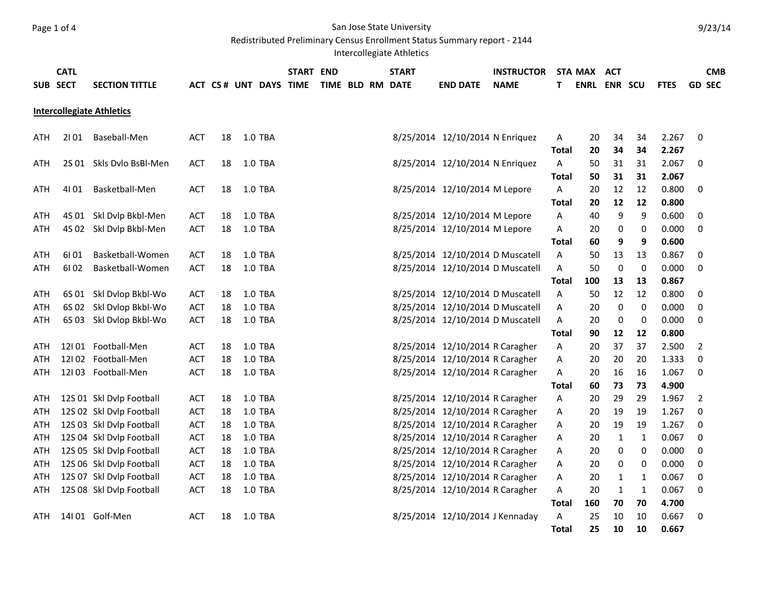## Page 1 of 4 San Jose State University

Redistributed Preliminary Census Enrollment Status Summary report - 2144

Intercollegiate Athletics

|          | <b>CATL</b> |                                  |            |    |                       | START END |  | <b>START</b>     |                                  | <b>INSTRUCTOR</b> |              | STA MAX             | <b>ACT</b>   |    |             |                | <b>CMB</b> |
|----------|-------------|----------------------------------|------------|----|-----------------------|-----------|--|------------------|----------------------------------|-------------------|--------------|---------------------|--------------|----|-------------|----------------|------------|
| SUB SECT |             | <b>SECTION TITTLE</b>            |            |    | ACT CS# UNT DAYS TIME |           |  | TIME BLD RM DATE | <b>END DATE</b>                  | <b>NAME</b>       | T            | <b>ENRL ENR SCU</b> |              |    | <b>FTES</b> | <b>GD SEC</b>  |            |
|          |             |                                  |            |    |                       |           |  |                  |                                  |                   |              |                     |              |    |             |                |            |
|          |             | <b>Intercollegiate Athletics</b> |            |    |                       |           |  |                  |                                  |                   |              |                     |              |    |             |                |            |
|          |             |                                  |            |    |                       |           |  |                  |                                  |                   |              |                     |              |    |             |                |            |
| ATH      | 2101        | Baseball-Men                     | <b>ACT</b> | 18 | 1.0 TBA               |           |  |                  | 8/25/2014 12/10/2014 N Enriquez  |                   | A            | 20                  | 34           | 34 | 2.267       | $\mathbf 0$    |            |
|          |             |                                  |            |    |                       |           |  |                  |                                  |                   | <b>Total</b> | 20                  | 34           | 34 | 2.267       |                |            |
| ATH      |             | 2S 01 Skls Dvlo BsBl-Men         | <b>ACT</b> | 18 | 1.0 TBA               |           |  |                  | 8/25/2014 12/10/2014 N Enriquez  |                   | A            | 50                  | 31           | 31 | 2.067       | 0              |            |
|          |             |                                  |            |    |                       |           |  |                  |                                  |                   | Total        | 50                  | 31           | 31 | 2.067       |                |            |
| ATH      | 4101        | Basketball-Men                   | <b>ACT</b> | 18 | 1.0 TBA               |           |  |                  | 8/25/2014 12/10/2014 M Lepore    |                   | A            | 20                  | 12           | 12 | 0.800       | $\mathbf 0$    |            |
|          |             |                                  |            |    |                       |           |  |                  |                                  |                   | <b>Total</b> | 20                  | 12           | 12 | 0.800       |                |            |
| ATH      | 4S 01       | Skl Dvlp Bkbl-Men                | <b>ACT</b> | 18 | 1.0 TBA               |           |  |                  | 8/25/2014 12/10/2014 M Lepore    |                   | Α            | 40                  | 9            | 9  | 0.600       | 0              |            |
| ATH      | 4S 02       | Skl Dvlp Bkbl-Men                | <b>ACT</b> | 18 | 1.0 TBA               |           |  |                  | 8/25/2014 12/10/2014 M Lepore    |                   | Α            | 20                  | 0            | 0  | 0.000       | 0              |            |
|          |             |                                  |            |    |                       |           |  |                  |                                  |                   | <b>Total</b> | 60                  | 9            | 9  | 0.600       |                |            |
| ATH      | 61 01       | Basketball-Women                 | <b>ACT</b> | 18 | 1.0 TBA               |           |  |                  | 8/25/2014 12/10/2014 D Muscatell |                   | Α            | 50                  | 13           | 13 | 0.867       | 0              |            |
| ATH      | 6102        | Basketball-Women                 | <b>ACT</b> | 18 | 1.0 TBA               |           |  |                  | 8/25/2014 12/10/2014 D Muscatell |                   | Α            | 50                  | 0            | 0  | 0.000       | 0              |            |
|          |             |                                  |            |    |                       |           |  |                  |                                  |                   | <b>Total</b> | 100                 | 13           | 13 | 0.867       |                |            |
| ATH      | 6S 01       | Skl Dvlop Bkbl-Wo                | <b>ACT</b> | 18 | 1.0 TBA               |           |  |                  | 8/25/2014 12/10/2014 D Muscatell |                   | Α            | 50                  | 12           | 12 | 0.800       | 0              |            |
| ATH      | 6S 02       | Skl Dvlop Bkbl-Wo                | <b>ACT</b> | 18 | 1.0 TBA               |           |  |                  | 8/25/2014 12/10/2014 D Muscatell |                   | Α            | 20                  | 0            | 0  | 0.000       | 0              |            |
| ATH      | 6S 03       | Skl Dvlop Bkbl-Wo                | <b>ACT</b> | 18 | 1.0 TBA               |           |  |                  | 8/25/2014 12/10/2014 D Muscatell |                   | A            | 20                  | 0            | 0  | 0.000       | 0              |            |
|          |             |                                  |            |    |                       |           |  |                  |                                  |                   | <b>Total</b> | 90                  | 12           | 12 | 0.800       |                |            |
| ATH      |             | 12I01 Football-Men               | <b>ACT</b> | 18 | 1.0 TBA               |           |  |                  | 8/25/2014 12/10/2014 R Caragher  |                   | Α            | 20                  | 37           | 37 | 2.500       | $\overline{2}$ |            |
| ATH      |             | 12I 02 Football-Men              | <b>ACT</b> | 18 | 1.0 TBA               |           |  |                  | 8/25/2014 12/10/2014 R Caragher  |                   | Α            | 20                  | 20           | 20 | 1.333       | $\mathbf 0$    |            |
| ATH      |             | 12I03 Football-Men               | <b>ACT</b> | 18 | 1.0 TBA               |           |  |                  | 8/25/2014 12/10/2014 R Caragher  |                   | A            | 20                  | 16           | 16 | 1.067       | 0              |            |
|          |             |                                  |            |    |                       |           |  |                  |                                  |                   | Total        | 60                  | 73           | 73 | 4.900       |                |            |
| ATH      |             | 12S 01 Skl Dvlp Football         | ACT        | 18 | 1.0 TBA               |           |  |                  | 8/25/2014 12/10/2014 R Caragher  |                   | A            | 20                  | 29           | 29 | 1.967       | $\overline{2}$ |            |
| ATH      |             | 12S 02 Skl Dvlp Football         | <b>ACT</b> | 18 | 1.0 TBA               |           |  |                  | 8/25/2014 12/10/2014 R Caragher  |                   | Α            | 20                  | 19           | 19 | 1.267       | $\mathbf 0$    |            |
| ATH      |             | 12S 03 Skl Dvlp Football         | <b>ACT</b> | 18 | 1.0 TBA               |           |  |                  | 8/25/2014 12/10/2014 R Caragher  |                   | A            | 20                  | 19           | 19 | 1.267       | $\mathbf 0$    |            |
| ATH      |             | 12S 04 Skl Dvlp Football         | <b>ACT</b> | 18 | 1.0 TBA               |           |  |                  | 8/25/2014 12/10/2014 R Caragher  |                   | Α            | 20                  | $\mathbf{1}$ | 1  | 0.067       | 0              |            |
| ATH      |             | 12S 05 Skl Dvlp Football         | <b>ACT</b> | 18 | 1.0 TBA               |           |  |                  | 8/25/2014 12/10/2014 R Caragher  |                   | A            | 20                  | 0            | 0  | 0.000       | 0              |            |
| ATH      |             | 12S 06 Skl Dvlp Football         | <b>ACT</b> | 18 | 1.0 TBA               |           |  |                  | 8/25/2014 12/10/2014 R Caragher  |                   | A            | 20                  | 0            | 0  | 0.000       | $\mathbf 0$    |            |
| ATH      |             | 12S 07 Skl Dvlp Football         | <b>ACT</b> | 18 | 1.0 TBA               |           |  |                  | 8/25/2014 12/10/2014 R Caragher  |                   | A            | 20                  | $\mathbf{1}$ | 1  | 0.067       | $\pmb{0}$      |            |
| ATH      |             | 12S 08 Skl Dvlp Football         | <b>ACT</b> | 18 | 1.0 TBA               |           |  |                  | 8/25/2014 12/10/2014 R Caragher  |                   | A            | 20                  | 1            | 1  | 0.067       | 0              |            |
|          |             |                                  |            |    |                       |           |  |                  |                                  |                   | <b>Total</b> | 160                 | 70           | 70 | 4.700       |                |            |
| ATH      |             | 14I01 Golf-Men                   | <b>ACT</b> | 18 | 1.0 TBA               |           |  |                  | 8/25/2014 12/10/2014 J Kennaday  |                   | Α            | 25                  | 10           | 10 | 0.667       | 0              |            |
|          |             |                                  |            |    |                       |           |  |                  |                                  |                   | Total        | 25                  | 10           | 10 | 0.667       |                |            |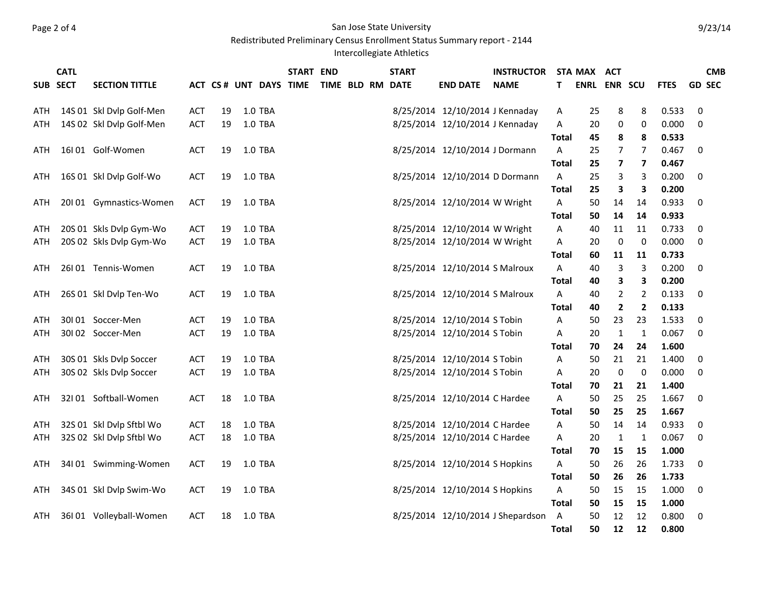## Page 2 of 4 San Jose State University

Redistributed Preliminary Census Enrollment Status Summary report - 2144

Intercollegiate Athletics

|     | <b>CATL</b> |                          |            |    |                        | <b>START END</b> |  | <b>START</b>     |                                 | <b>INSTRUCTOR</b>                 |              | STA MAX             | <b>ACT</b>       |              |             | <b>CMB</b>    |
|-----|-------------|--------------------------|------------|----|------------------------|------------------|--|------------------|---------------------------------|-----------------------------------|--------------|---------------------|------------------|--------------|-------------|---------------|
|     | SUB SECT    | <b>SECTION TITTLE</b>    |            |    | ACT CS # UNT DAYS TIME |                  |  | TIME BLD RM DATE | <b>END DATE</b>                 | <b>NAME</b>                       | т            | <b>ENRL ENR SCU</b> |                  |              | <b>FTES</b> | <b>GD SEC</b> |
|     |             |                          |            |    |                        |                  |  |                  |                                 |                                   |              |                     |                  |              |             |               |
| ATH |             | 14S 01 Skl Dvlp Golf-Men | <b>ACT</b> | 19 | 1.0 TBA                |                  |  |                  | 8/25/2014 12/10/2014 J Kennaday |                                   | A            | 25                  | 8                | 8            | 0.533       | 0             |
| ATH |             | 14S 02 Skl Dvlp Golf-Men | <b>ACT</b> | 19 | 1.0 TBA                |                  |  |                  | 8/25/2014 12/10/2014 J Kennaday |                                   | A            | 20                  | 0                | 0            | 0.000       | $\mathbf 0$   |
|     |             |                          |            |    |                        |                  |  |                  |                                 |                                   | Total        | 45                  | 8                | 8            | 0.533       |               |
| ATH |             | 16I01 Golf-Women         | <b>ACT</b> | 19 | 1.0 TBA                |                  |  |                  | 8/25/2014 12/10/2014 J Dormann  |                                   | A            | 25                  | 7                | 7            | 0.467       | $\mathbf 0$   |
|     |             |                          |            |    |                        |                  |  |                  |                                 |                                   | <b>Total</b> | 25                  | 7                | 7            | 0.467       |               |
| ATH |             | 16S 01 Skl Dvlp Golf-Wo  | ACT        | 19 | 1.0 TBA                |                  |  |                  | 8/25/2014 12/10/2014 D Dormann  |                                   | A            | 25                  | 3                | 3            | 0.200       | 0             |
|     |             |                          |            |    |                        |                  |  |                  |                                 |                                   | <b>Total</b> | 25                  | 3                | 3            | 0.200       |               |
| ATH |             | 20101 Gymnastics-Women   | <b>ACT</b> | 19 | 1.0 TBA                |                  |  |                  | 8/25/2014 12/10/2014 W Wright   |                                   | A            | 50                  | 14               | 14           | 0.933       | 0             |
|     |             |                          |            |    |                        |                  |  |                  |                                 |                                   | <b>Total</b> | 50                  | 14               | 14           | 0.933       |               |
| ATH |             | 20S 01 Skls Dvlp Gym-Wo  | ACT        | 19 | 1.0 TBA                |                  |  |                  | 8/25/2014 12/10/2014 W Wright   |                                   | A            | 40                  | 11               | 11           | 0.733       | 0             |
| ATH |             | 20S 02 Skls Dvlp Gym-Wo  | <b>ACT</b> | 19 | 1.0 TBA                |                  |  |                  | 8/25/2014 12/10/2014 W Wright   |                                   | Α            | 20                  | $\boldsymbol{0}$ | $\mathbf 0$  | 0.000       | 0             |
|     |             |                          |            |    |                        |                  |  |                  |                                 |                                   | <b>Total</b> | 60                  | 11               | 11           | 0.733       |               |
| ATH |             | 26I01 Tennis-Women       | <b>ACT</b> | 19 | 1.0 TBA                |                  |  |                  | 8/25/2014 12/10/2014 S Malroux  |                                   | A            | 40                  | 3                | 3            | 0.200       | $\mathbf 0$   |
|     |             |                          |            |    |                        |                  |  |                  |                                 |                                   | <b>Total</b> | 40                  | 3                | 3            | 0.200       |               |
| ATH |             | 26S 01 Skl Dvlp Ten-Wo   | ACT        | 19 | 1.0 TBA                |                  |  |                  | 8/25/2014 12/10/2014 S Malroux  |                                   | A            | 40                  | $\overline{2}$   | 2            | 0.133       | 0             |
|     |             |                          |            |    |                        |                  |  |                  |                                 |                                   | <b>Total</b> | 40                  | $\overline{2}$   | $\mathbf{2}$ | 0.133       |               |
| ATH |             | 30I01 Soccer-Men         | <b>ACT</b> | 19 | 1.0 TBA                |                  |  |                  | 8/25/2014 12/10/2014 S Tobin    |                                   | Α            | 50                  | 23               | 23           | 1.533       | $\pmb{0}$     |
| ATH |             | 30I02 Soccer-Men         | ACT        | 19 | 1.0 TBA                |                  |  |                  | 8/25/2014 12/10/2014 S Tobin    |                                   | A            | 20                  | $\mathbf{1}$     | $\mathbf{1}$ | 0.067       | 0             |
|     |             |                          |            |    |                        |                  |  |                  |                                 |                                   | <b>Total</b> | 70                  | 24               | 24           | 1.600       |               |
| ATH |             | 30S 01 Skls Dvlp Soccer  | <b>ACT</b> | 19 | 1.0 TBA                |                  |  |                  | 8/25/2014 12/10/2014 S Tobin    |                                   | Α            | 50                  | 21               | 21           | 1.400       | 0             |
| ATH |             | 30S 02 Skls Dvlp Soccer  | ACT        | 19 | 1.0 TBA                |                  |  |                  | 8/25/2014 12/10/2014 S Tobin    |                                   | A            | 20                  | 0                | 0            | 0.000       | 0             |
|     |             |                          |            |    |                        |                  |  |                  |                                 |                                   | Total        | 70                  | 21               | 21           | 1.400       |               |
| ATH |             | 32I01 Softball-Women     | <b>ACT</b> | 18 | 1.0 TBA                |                  |  |                  | 8/25/2014 12/10/2014 C Hardee   |                                   | A            | 50                  | 25               | 25           | 1.667       | 0             |
|     |             |                          |            |    |                        |                  |  |                  |                                 |                                   | <b>Total</b> | 50                  | 25               | 25           | 1.667       |               |
| ATH |             | 32S 01 Skl Dvlp Sftbl Wo | ACT        | 18 | 1.0 TBA                |                  |  |                  | 8/25/2014 12/10/2014 C Hardee   |                                   | A            | 50                  | 14               | 14           | 0.933       | 0             |
| ATH |             | 32S 02 Skl Dvlp Sftbl Wo | ACT        | 18 | 1.0 TBA                |                  |  |                  | 8/25/2014 12/10/2014 C Hardee   |                                   | A            | 20                  | 1                | 1            | 0.067       | $\mathbf 0$   |
|     |             |                          |            |    |                        |                  |  |                  |                                 |                                   | <b>Total</b> | 70                  | 15               | 15           | 1.000       |               |
| ATH |             | 34I 01 Swimming-Women    | <b>ACT</b> | 19 | 1.0 TBA                |                  |  |                  | 8/25/2014 12/10/2014 S Hopkins  |                                   | A            | 50                  | 26               | 26           | 1.733       | 0             |
|     |             |                          |            |    |                        |                  |  |                  |                                 |                                   | <b>Total</b> | 50                  | 26               | 26           | 1.733       |               |
| ATH |             | 34S 01 Skl Dvlp Swim-Wo  | ACT        | 19 | 1.0 TBA                |                  |  |                  | 8/25/2014 12/10/2014 S Hopkins  |                                   | A            | 50                  | 15               | 15           | 1.000       | 0             |
|     |             |                          |            |    |                        |                  |  |                  |                                 |                                   | <b>Total</b> | 50                  | 15               | 15           | 1.000       |               |
| ATH |             | 36I 01 Volleyball-Women  | <b>ACT</b> | 18 | 1.0 TBA                |                  |  |                  |                                 | 8/25/2014 12/10/2014 J Shepardson | A            | 50                  | 12               | 12           | 0.800       | 0             |
|     |             |                          |            |    |                        |                  |  |                  |                                 |                                   | Total        | 50                  | 12               | 12           | 0.800       |               |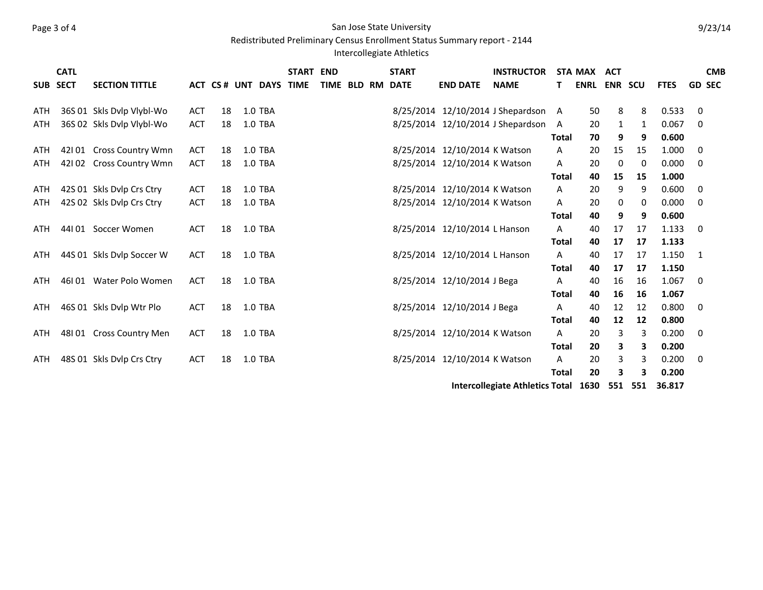## Page 3 of 4 San Jose State University

Redistributed Preliminary Census Enrollment Status Summary report - 2144

## Intercollegiate Athletics

|            | <b>CATL</b> |                           |            |    |                        | <b>START END</b> |  | <b>START</b>     |                               | <b>INSTRUCTOR</b>                    |              | STA MAX             | ACT |         |             |                | <b>CMB</b>    |
|------------|-------------|---------------------------|------------|----|------------------------|------------------|--|------------------|-------------------------------|--------------------------------------|--------------|---------------------|-----|---------|-------------|----------------|---------------|
|            | SUB SECT    | <b>SECTION TITTLE</b>     |            |    | ACT CS # UNT DAYS TIME |                  |  | TIME BLD RM DATE | <b>END DATE</b>               | <b>NAME</b>                          |              | <b>ENRL ENR SCU</b> |     |         | <b>FTES</b> |                | <b>GD SEC</b> |
|            |             |                           |            |    |                        |                  |  |                  |                               |                                      |              |                     |     |         |             |                |               |
| <b>ATH</b> |             | 36S 01 Skls Dylp Vlybl-Wo | ACT        | 18 | <b>1.0 TBA</b>         |                  |  |                  |                               | 8/25/2014 12/10/2014 J Shepardson A  |              | 50                  | 8   | 8       | 0.533       | 0              |               |
| ATH        |             | 36S 02 Skls Dvlp Vlybl-Wo | ACT        | 18 | 1.0 TBA                |                  |  |                  |                               | 8/25/2014 12/10/2014 J Shepardson    | A            | 20                  | 1   | 1       | 0.067       | 0              |               |
|            |             |                           |            |    |                        |                  |  |                  |                               |                                      | <b>Total</b> | 70                  | 9   | 9       | 0.600       |                |               |
| ATH        |             | 42101 Cross Country Wmn   | <b>ACT</b> | 18 | 1.0 TBA                |                  |  |                  | 8/25/2014 12/10/2014 K Watson |                                      | A            | 20                  | 15  | 15      | 1.000       | 0              |               |
| ATH        | 42102       | <b>Cross Country Wmn</b>  | <b>ACT</b> | 18 | 1.0 TBA                |                  |  |                  | 8/25/2014 12/10/2014 K Watson |                                      | A            | 20                  | 0   | 0       | 0.000       | 0              |               |
|            |             |                           |            |    |                        |                  |  |                  |                               |                                      | <b>Total</b> | 40                  | 15  | 15      | 1.000       |                |               |
| ATH        |             | 42S 01 Skls Dvlp Crs Ctry | ACT        | 18 | 1.0 TBA                |                  |  |                  | 8/25/2014 12/10/2014 K Watson |                                      | A            | 20                  | 9   | 9       | 0.600       | 0              |               |
| ATH        |             | 42S 02 Skls Dvlp Crs Ctry | <b>ACT</b> | 18 | 1.0 TBA                |                  |  |                  | 8/25/2014 12/10/2014 K Watson |                                      | A            | 20                  | 0   | 0       | 0.000       | $\mathbf 0$    |               |
|            |             |                           |            |    |                        |                  |  |                  |                               |                                      | <b>Total</b> | 40                  | 9   | 9       | 0.600       |                |               |
| ATH        |             | 44101 Soccer Women        | <b>ACT</b> | 18 | 1.0 TBA                |                  |  |                  | 8/25/2014 12/10/2014 L Hanson |                                      | A            | 40                  | 17  | 17      | 1.133       | - 0            |               |
|            |             |                           |            |    |                        |                  |  |                  |                               |                                      | <b>Total</b> | 40                  | 17  | 17      | 1.133       |                |               |
| ATH        |             | 44S 01 Skls Dylp Soccer W | <b>ACT</b> | 18 | 1.0 TBA                |                  |  |                  | 8/25/2014 12/10/2014 L Hanson |                                      | A            | 40                  | 17  | 17      | 1.150       | $\overline{1}$ |               |
|            |             |                           |            |    |                        |                  |  |                  |                               |                                      | <b>Total</b> | 40                  | 17  | 17      | 1.150       |                |               |
| <b>ATH</b> |             | 46101 Water Polo Women    | <b>ACT</b> | 18 | 1.0 TBA                |                  |  |                  | 8/25/2014 12/10/2014 J Bega   |                                      | A            | 40                  | 16  | 16      | 1.067       | 0              |               |
|            |             |                           |            |    |                        |                  |  |                  |                               |                                      | <b>Total</b> | 40                  | 16  | 16      | 1.067       |                |               |
| ATH        |             | 46S 01 Skls Dvlp Wtr Plo  | <b>ACT</b> | 18 | 1.0 TBA                |                  |  |                  | 8/25/2014 12/10/2014 J Bega   |                                      | A            | 40                  | 12  | 12      | 0.800       | $\mathbf 0$    |               |
|            |             |                           |            |    |                        |                  |  |                  |                               |                                      | <b>Total</b> | 40                  | 12  | 12      | 0.800       |                |               |
| ATH        |             | 48101 Cross Country Men   | <b>ACT</b> | 18 | 1.0 TBA                |                  |  |                  | 8/25/2014 12/10/2014 K Watson |                                      | A            | 20                  | 3   | 3       | 0.200       | $\mathbf 0$    |               |
|            |             |                           |            |    |                        |                  |  |                  |                               |                                      | <b>Total</b> | 20                  | 3   | 3       | 0.200       |                |               |
| <b>ATH</b> |             | 48S 01 Skls Dvlp Crs Ctry | <b>ACT</b> | 18 | 1.0 TBA                |                  |  |                  | 8/25/2014 12/10/2014 K Watson |                                      | A            | 20                  | 3   | 3       | 0.200       | 0              |               |
|            |             |                           |            |    |                        |                  |  |                  |                               |                                      | <b>Total</b> | 20                  | 3   | 3       | 0.200       |                |               |
|            |             |                           |            |    |                        |                  |  |                  |                               | Intercollegiate Athletics Total 1630 |              |                     |     | 551 551 | 36.817      |                |               |
|            |             |                           |            |    |                        |                  |  |                  |                               |                                      |              |                     |     |         |             |                |               |